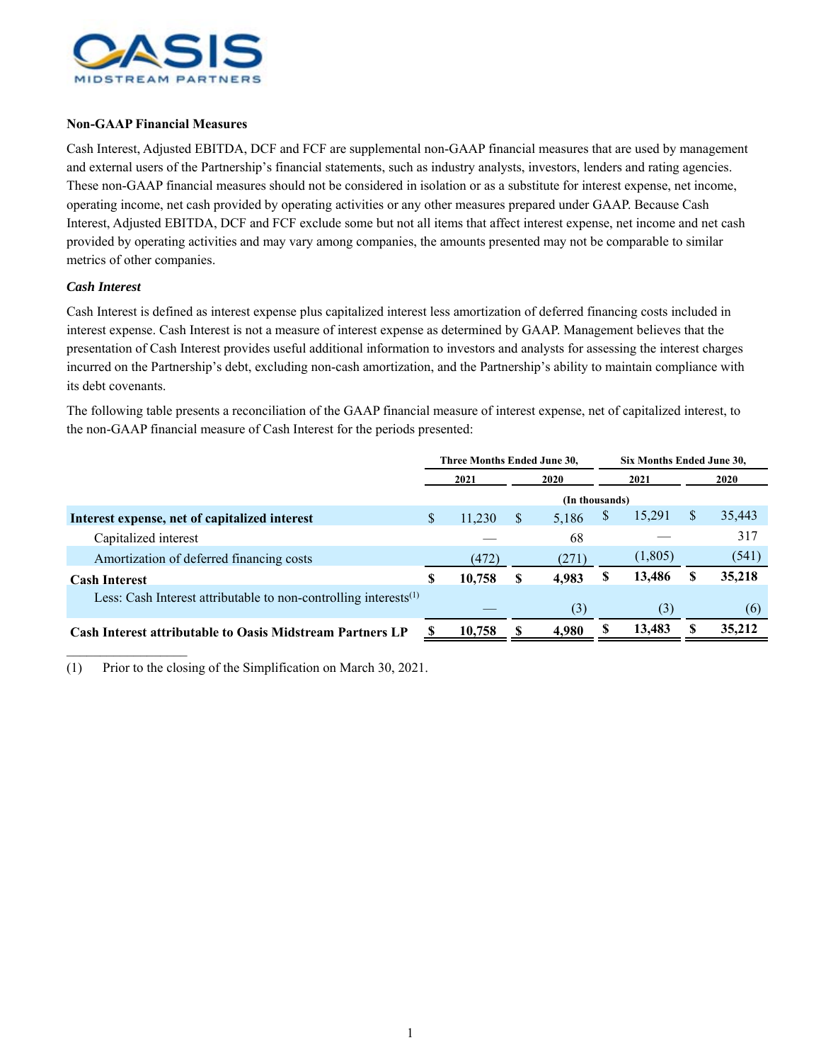

## **Non-GAAP Financial Measures**

Cash Interest, Adjusted EBITDA, DCF and FCF are supplemental non-GAAP financial measures that are used by management and external users of the Partnership's financial statements, such as industry analysts, investors, lenders and rating agencies. These non-GAAP financial measures should not be considered in isolation or as a substitute for interest expense, net income, operating income, net cash provided by operating activities or any other measures prepared under GAAP. Because Cash Interest, Adjusted EBITDA, DCF and FCF exclude some but not all items that affect interest expense, net income and net cash provided by operating activities and may vary among companies, the amounts presented may not be comparable to similar metrics of other companies.

## *Cash Interest*

Cash Interest is defined as interest expense plus capitalized interest less amortization of deferred financing costs included in interest expense. Cash Interest is not a measure of interest expense as determined by GAAP. Management believes that the presentation of Cash Interest provides useful additional information to investors and analysts for assessing the interest charges incurred on the Partnership's debt, excluding non-cash amortization, and the Partnership's ability to maintain compliance with its debt covenants.

The following table presents a reconciliation of the GAAP financial measure of interest expense, net of capitalized interest, to the non-GAAP financial measure of Cash Interest for the periods presented:

|                                                                        | Three Months Ended June 30, |                |      |       |      | Six Months Ended June 30, |      |        |  |  |
|------------------------------------------------------------------------|-----------------------------|----------------|------|-------|------|---------------------------|------|--------|--|--|
|                                                                        | 2021                        |                | 2020 |       | 2021 |                           | 2020 |        |  |  |
|                                                                        |                             | (In thousands) |      |       |      |                           |      |        |  |  |
| Interest expense, net of capitalized interest                          | <b>S</b>                    | 11,230         | S    | 5,186 | S    | 15,291                    | S    | 35,443 |  |  |
| Capitalized interest                                                   |                             |                |      | 68    |      |                           |      | 317    |  |  |
| Amortization of deferred financing costs                               |                             | (472)          |      | (271) |      | (1,805)                   |      | (541)  |  |  |
| <b>Cash Interest</b>                                                   | S                           | 10,758         | S    | 4,983 | S    | 13,486                    |      | 35,218 |  |  |
| Less: Cash Interest attributable to non-controlling interests $^{(1)}$ |                             |                |      | (3)   |      | (3)                       |      | (6)    |  |  |
| <b>Cash Interest attributable to Oasis Midstream Partners LP</b>       |                             | 10,758         |      | 4.980 |      | 13,483                    |      | 35,212 |  |  |
|                                                                        |                             |                |      |       |      |                           |      |        |  |  |

(1) Prior to the closing of the Simplification on March 30, 2021.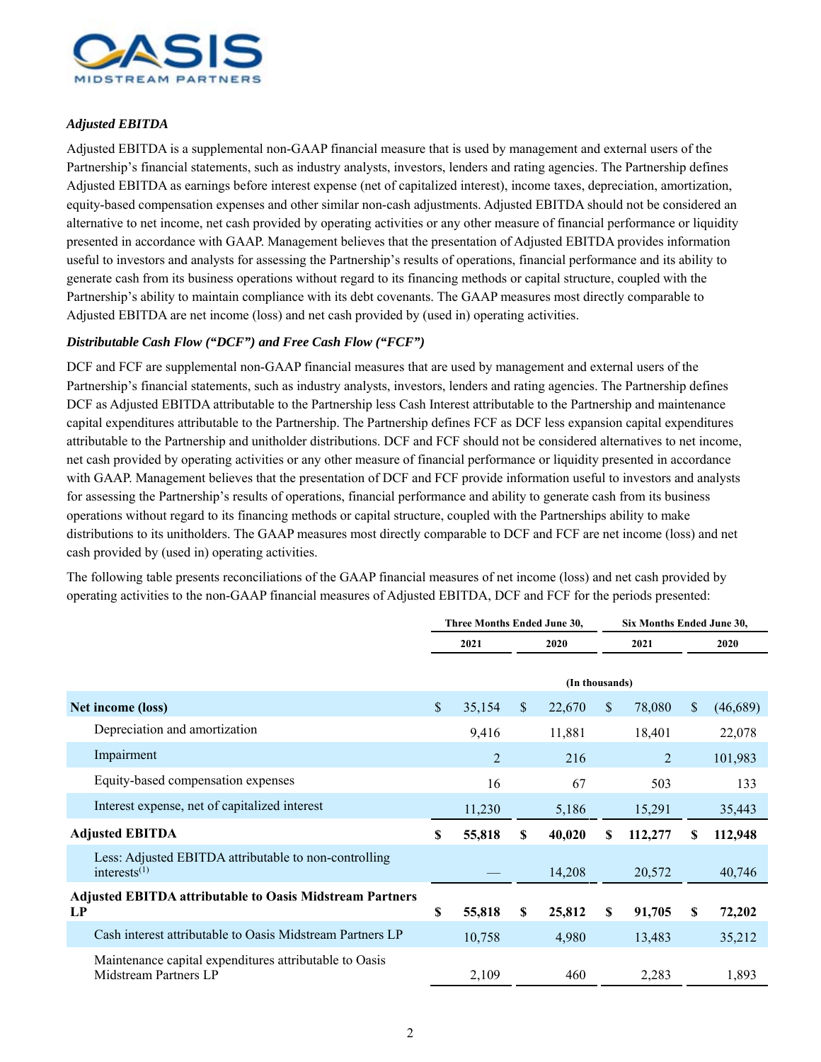

## *Adjusted EBITDA*

Adjusted EBITDA is a supplemental non-GAAP financial measure that is used by management and external users of the Partnership's financial statements, such as industry analysts, investors, lenders and rating agencies. The Partnership defines Adjusted EBITDA as earnings before interest expense (net of capitalized interest), income taxes, depreciation, amortization, equity-based compensation expenses and other similar non-cash adjustments. Adjusted EBITDA should not be considered an alternative to net income, net cash provided by operating activities or any other measure of financial performance or liquidity presented in accordance with GAAP. Management believes that the presentation of Adjusted EBITDA provides information useful to investors and analysts for assessing the Partnership's results of operations, financial performance and its ability to generate cash from its business operations without regard to its financing methods or capital structure, coupled with the Partnership's ability to maintain compliance with its debt covenants. The GAAP measures most directly comparable to Adjusted EBITDA are net income (loss) and net cash provided by (used in) operating activities.

## *Distributable Cash Flow ("DCF") and Free Cash Flow ("FCF")*

DCF and FCF are supplemental non-GAAP financial measures that are used by management and external users of the Partnership's financial statements, such as industry analysts, investors, lenders and rating agencies. The Partnership defines DCF as Adjusted EBITDA attributable to the Partnership less Cash Interest attributable to the Partnership and maintenance capital expenditures attributable to the Partnership. The Partnership defines FCF as DCF less expansion capital expenditures attributable to the Partnership and unitholder distributions. DCF and FCF should not be considered alternatives to net income, net cash provided by operating activities or any other measure of financial performance or liquidity presented in accordance with GAAP. Management believes that the presentation of DCF and FCF provide information useful to investors and analysts for assessing the Partnership's results of operations, financial performance and ability to generate cash from its business operations without regard to its financing methods or capital structure, coupled with the Partnerships ability to make distributions to its unitholders. The GAAP measures most directly comparable to DCF and FCF are net income (loss) and net cash provided by (used in) operating activities.

The following table presents reconciliations of the GAAP financial measures of net income (loss) and net cash provided by operating activities to the non-GAAP financial measures of Adjusted EBITDA, DCF and FCF for the periods presented:

|                                                                       |                                                                                 | Three Months Ended June 30, |                |              |                | Six Months Ended June 30, |         |     |          |  |
|-----------------------------------------------------------------------|---------------------------------------------------------------------------------|-----------------------------|----------------|--------------|----------------|---------------------------|---------|-----|----------|--|
|                                                                       |                                                                                 | 2021                        |                | 2020         |                | 2021                      |         |     | 2020     |  |
|                                                                       |                                                                                 |                             |                |              | (In thousands) |                           |         |     |          |  |
|                                                                       | Net income (loss)                                                               | \$                          | 35,154         | $\mathbb{S}$ | 22,670         | $\mathbf{\$}$             | 78,080  | \$. | (46,689) |  |
|                                                                       | Depreciation and amortization                                                   |                             | 9,416          |              | 11,881         |                           | 18,401  |     | 22,078   |  |
|                                                                       | Impairment                                                                      |                             | $\overline{2}$ |              | 216            |                           | 2       |     | 101,983  |  |
|                                                                       | Equity-based compensation expenses                                              |                             | 16             |              | 67             |                           | 503     |     | 133      |  |
|                                                                       | Interest expense, net of capitalized interest                                   |                             | 11,230         |              | 5,186          |                           | 15,291  |     | 35,443   |  |
| <b>Adjusted EBITDA</b>                                                |                                                                                 | S                           | 55,818         | S.           | 40,020         | S                         | 112,277 | S   | 112,948  |  |
|                                                                       | Less: Adjusted EBITDA attributable to non-controlling<br>interests $(1)$        |                             |                |              | 14,208         |                           | 20,572  |     | 40,746   |  |
| <b>Adjusted EBITDA attributable to Oasis Midstream Partners</b><br>LP |                                                                                 | S                           | 55,818         | S            | 25,812         | S                         | 91,705  | S   | 72,202   |  |
|                                                                       | Cash interest attributable to Oasis Midstream Partners LP                       |                             | 10,758         |              | 4,980          |                           | 13,483  |     | 35,212   |  |
|                                                                       | Maintenance capital expenditures attributable to Oasis<br>Midstream Partners LP |                             | 2,109          |              | 460            |                           | 2,283   |     | 1,893    |  |